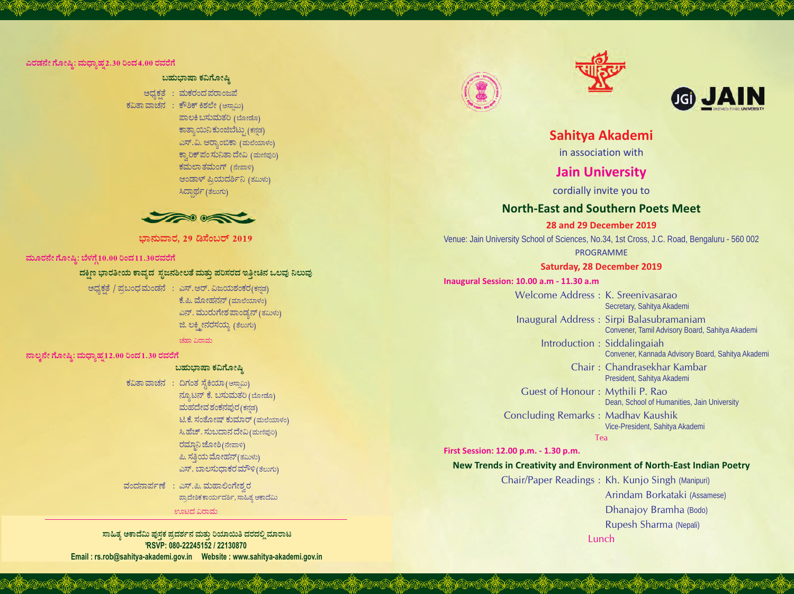#### ಎರಡನೇ ಗೋಷ್ಠಿ: ಮಧ್ಯಾಹ್ನ2.30 ರಿಂದ 4.00 ರವರೆಗೆ

## ಬಹುಭಾಷಾ ಕವಿಗೋಷ್ಠಿ

ಅಧ್ಯಕತೆ : ಮಕರಂದ ಪರಾಂಜಪೆ ಕವಿತಾವಾಚನ : ಕೌಶಿಕ್ ಕಿಶಲೇ (ಅಸ್ವಾಮಿ) ಪಾಲಕಿ ಬಸುಮತರಿ (ಬೋಡೊ) ಕಾತ್ಯಾಯಿನಿ ಕುಂಜಿಬೆಟ್ನು (ಕನಡ) ಎಸ್.ವಿ. ಆರ್ರಾಂಬಿಕಾ (ಮಲೆಯಾಳಂ) ಕ್ರಾರಿಕ್ ಪಂ ಸುನಿತಾ ದೇವಿ (ಮಣಿಪುರಿ) ಕಮಲಾ ತಮಂಗ್ (ನೇಪಾಳಿ) ಆಂಡಾಳ್ ಪ್ರಿಯದರ್ಶಿನಿ (ತಮಿಳು) ಸಿದ್ದಾರ್ಥ (ತೆಲುಗು)



ಭಾನುವಾರ, 29 ಡಿಸೆಂಬರ್ 2019

### ಮೂರನೇ ಗೋಷ್ಠಿ: ಬೆಳಗ್ಗೆ10.00 ರಿಂದ11.30ರವರೆಗೆ

#### ದಕ್ಷಿಣ ಭಾರತೀಯ ಕಾವ್ತದ ಸೃಜನಶೀಲತೆ ಮತ್ತು ಪರಿಸರದ ಇತ್ತೀಚಿನ ಒಲವು ನಿಲುವು

ಅಧ್ಯಕತೆ / ಪ್ರಬಂಧಮಂಡನೆ : ಎಸ್.ಆರ್. ವಿಜಯಶಂಕರ(ಕನ್ನಡ) ಕೆ.ಪಿ. ಮೋಹನನ್ (ಮಾಲೆಯಾಳಂ) ಎನ್. ಮುರುಗೇಶ ಪಾಂಡ್ಯನ್ (ತಮಿಳು) ಜಿ. ಲಕ್ಷ್ಮೀನರಸಯ್ಯ (ತೆಲುಗು) ಚಹಾ ವಿರಾಮ

ನಾಲ್ತನೇ ಗೋಷ್ಠಿ: ಮಧ್ಯಾಹ್ನ12.00 ರಿಂದ 1.30 ರವರೆಗೆ

### ಬಹುಭಾಷಾ ಕವಿಗೋಷಿ

ಕವಿತಾವಾಚನ : ದಿಗಂತ ಸೈಕಿಯಾ (ಅಸಾಮಿ) ನ್ಯೂಟನ್ ಕೆ. ಬಸುಮತರಿ (ಬೋಡೊ) ಮಹದೇವ ಶಂಕನಪುರ (ಕನ್ನಡ) ಟಿ.ಕೆ. ಸಂತೋಷ್ ಕುಮಾರ್ (ಮಲೆಯಾಳಂ) ಸಿ.ಹೆಚ್. ಸುಬದಾನ ದೇವಿ (ಮಣಿಪುರಿ) ರಮ್ದಾನಿ ಜೋಶಿ (ನೇಪಾಳಿ) ಪಿ. ಸತ್ತಿಯ ಮೋಹನ್(ತಮಿಳು) ಎಸ್. ಬಾಲಸುಧಾಕರ ಮೌಳಿ (ತೆಲುಗು)

ವಂದನಾರ್ಪಣೆ : ಎಸ್.ಪಿ. ಮಹಾಲಿಂಗೇಶ್ವರ ಪ್ರಾದೇಶಿಕ ಕಾರ್ಯದರ್ಶಿ, ಸಾಹಿತ್ಯ ಆಕಾದೆಮಿ

#### ಊಟದ ವಿರಾಮ

ಸಾಹಿತ್ಯ ಅಕಾದೆಮಿ ಪುಸ್ತಕ ಪ್ರದರ್ಶನ ಮತ್ತು ರಿಯಾಯಿತಿ ದರದಲ್ಲಿ ಮಾರಾಟ PRSVP: 080-22245152 / 22130870 







# Sahitya Akademi

in association with

# **Jain University**

cordially invite you to

# **North-East and Southern Poets Meet**

**28 and 29 December 2019** 

Venue: Jain University School of Sciences, No.34, 1st Cross, J.C. Road, Bengaluru - 560 002 **PROGRAMME** 

# **Saturday, 28 December 2019**

#### Inaugural Session: 10.00 a.m - 11.30 a.m

Welcome Address: K. Sreenivasarao Secretary, Sahitya Akademi Inaugural Address : Sirpi Balasubramaniam Convener, Tamil Advisory Board, Sahitya Akademi Introduction : Siddalingaiah Convener, Kannada Advisory Board, Sahitya Akademi Chair: Chandrasekhar Kambar President, Sahitya Akademi Guest of Honour: Mythili P. Rao Dean, School of Humanities, Jain University **Concluding Remarks: Madhav Kaushik** Vice-President, Sahitya Akademi Tea

First Session: 12.00 p.m. - 1.30 p.m.

# New Trends in Creativity and Environment of North-East Indian Poetry

Chair/Paper Readings: Kh. Kunjo Singh (Manipuri) Arindam Borkataki (Assamese) Dhanajoy Bramha (Bodo) Rupesh Sharma (Nepali) Lunch